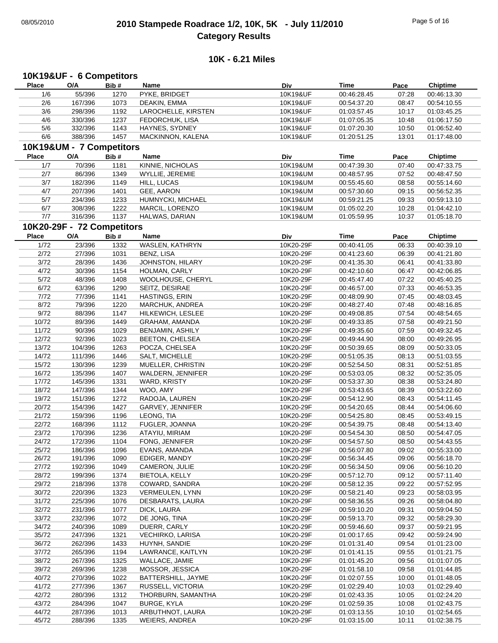# 08/05/2010 **2010 Stampede Roadrace 1/2, 10K, 5K - July 11/2010** Page 5 of 16 **Category Results**

## **10K - 6.21 Miles**

## **10K19&UF - 6 Competitors**

| Place        | O/A                        | Bib# | Name                  | Div       | <b>Time</b> | Pace  | <b>Chiptime</b> |
|--------------|----------------------------|------|-----------------------|-----------|-------------|-------|-----------------|
| 1/6          | 55/396                     | 1270 | PYKE, BRIDGET         | 10K19&UF  | 00:46:28.45 | 07:28 | 00:46:13.30     |
| 2/6          | 167/396                    | 1073 | DEAKIN, EMMA          | 10K19&UF  | 00:54:37.20 | 08:47 | 00:54:10.55     |
| 3/6          | 298/396                    | 1192 | LAROCHELLE, KIRSTEN   | 10K19&UF  | 01:03:57.45 | 10:17 | 01:03:45.25     |
| 4/6          | 330/396                    | 1237 | FEDORCHUK, LISA       | 10K19&UF  | 01:07:05.35 | 10:48 | 01:06:17.50     |
| 5/6          | 332/396                    | 1143 | HAYNES, SYDNEY        | 10K19&UF  | 01:07:20.30 | 10:50 | 01:06:52.40     |
| 6/6          | 388/396                    | 1457 | MACKINNON, KALENA     | 10K19&UF  | 01:20:51.25 | 13:01 | 01:17:48.00     |
|              |                            |      |                       |           |             |       |                 |
|              | 10K19&UM - 7 Competitors   |      |                       |           |             |       |                 |
| <b>Place</b> | O/A                        | Bib# | Name                  | Div       | <b>Time</b> | Pace  | <b>Chiptime</b> |
| 1/7          | 70/396                     | 1181 | KINNIE, NICHOLAS      | 10K19&UM  | 00:47:39.30 | 07:40 | 00:47:33.75     |
| 2/7          | 86/396                     | 1349 | WYLLIE, JEREMIE       | 10K19&UM  | 00:48:57.95 | 07:52 | 00:48:47.50     |
| 3/7          | 182/396                    | 1149 | HILL, LUCAS           | 10K19&UM  | 00:55:45.60 | 08:58 | 00:55:14.60     |
| 4/7          | 207/396                    | 1401 | GEE, AARON            | 10K19&UM  | 00:57:30.60 | 09:15 | 00:56:52.35     |
| 5/7          | 234/396                    | 1233 | HUMNYCKI, MICHAEL     | 10K19&UM  | 00:59:21.25 | 09:33 | 00:59:13.10     |
| 6/7          | 308/396                    | 1222 | MARCIL, LORENZO       | 10K19&UM  | 01:05:02.20 | 10:28 | 01:04:42.10     |
| $7/7$        | 316/396                    | 1137 | HALWAS, DARIAN        | 10K19&UM  | 01:05:59.95 | 10:37 | 01:05:18.70     |
|              | 10K20-29F - 72 Competitors |      |                       |           |             |       |                 |
| <b>Place</b> | O/A                        |      | Name                  |           | <b>Time</b> |       |                 |
|              |                            | Bib# |                       | Div       |             | Pace  | <b>Chiptime</b> |
| 1/72         | 23/396                     | 1332 | WASLEN, KATHRYN       | 10K20-29F | 00:40:41.05 | 06:33 | 00:40:39.10     |
| 2/72         | 27/396                     | 1031 | BENZ, LISA            | 10K20-29F | 00:41:23.60 | 06:39 | 00:41:21.80     |
| 3/72         | 28/396                     | 1436 | JOHNSTON, HILARY      | 10K20-29F | 00:41:35.30 | 06:41 | 00:41:33.80     |
| 4/72         | 30/396                     | 1154 | HOLMAN, CARLY         | 10K20-29F | 00:42:10.60 | 06:47 | 00:42:06.85     |
| $5/72$       | 48/396                     | 1408 | WOOLHOUSE, CHERYL     | 10K20-29F | 00:45:47.40 | 07:22 | 00:45:40.25     |
| 6/72         | 63/396                     | 1290 | SEITZ, DESIRAE        | 10K20-29F | 00:46:57.00 | 07:33 | 00:46:53.35     |
| 7/72         | 77/396                     | 1141 | HASTINGS, ERIN        | 10K20-29F | 00:48:09.90 | 07:45 | 00:48:03.45     |
| 8/72         | 79/396                     | 1220 | MARCHUK, ANDREA       | 10K20-29F | 00:48:27.40 | 07:48 | 00:48:16.85     |
| 9/72         | 88/396                     | 1147 | HILKEWICH, LESLEE     | 10K20-29F | 00:49:08.85 | 07:54 | 00:48:54.65     |
| 10/72        | 89/396                     | 1449 | GRAHAM, AMANDA        | 10K20-29F | 00:49:33.85 | 07:58 | 00:49:21.50     |
| 11/72        | 90/396                     | 1029 | BENJAMIN, ASHILY      | 10K20-29F | 00:49:35.60 | 07:59 | 00:49:32.45     |
| 12/72        | 92/396                     | 1023 | BEETON, CHELSEA       | 10K20-29F | 00:49:44.90 | 08:00 | 00:49:26.95     |
| 13/72        | 104/396                    | 1263 | POCZA, CHELSEA        | 10K20-29F | 00:50:39.65 | 08:09 | 00:50:33.05     |
| 14/72        | 111/396                    | 1446 | SALT, MICHELLE        | 10K20-29F | 00:51:05.35 | 08:13 | 00:51:03.55     |
| 15/72        | 130/396                    | 1239 | MUELLER, CHRISTIN     | 10K20-29F | 00:52:54.50 | 08:31 | 00:52:51.85     |
| 16/72        | 135/396                    | 1407 | WALDERN, JENNIFER     | 10K20-29F | 00:53:03.05 | 08:32 | 00:52:35.05     |
| 17/72        | 145/396                    | 1331 | WARD, KRISTY          | 10K20-29F | 00:53:37.30 | 08:38 | 00:53:24.80     |
| 18/72        | 147/396                    | 1344 | WOO, AMY              | 10K20-29F | 00:53:43.65 | 08:39 | 00:53:22.60     |
| 19/72        | 151/396                    | 1272 | RADOJA, LAUREN        | 10K20-29F | 00:54:12.90 | 08:43 | 00:54:11.45     |
| 20/72        | 154/396                    | 1427 | GARVEY, JENNIFER      | 10K20-29F | 00:54:20.65 | 08:44 | 00:54:06.60     |
|              |                            |      | LEONG, TIA            |           | 00:54:25.80 |       |                 |
| 21/72        | 159/396                    | 1196 |                       | 10K20-29F |             | 08:45 | 00:53:49.15     |
| 22/72        | 168/396                    | 1112 | FUGLER, JOANNA        | 10K20-29F | 00:54:39.75 | 08:48 | 00:54:13.40     |
| 23/72        | 170/396                    | 1236 | ATAYIU, MIRIAM        | 10K20-29F | 00:54:54.30 | 08:50 | 00:54:47.05     |
| 24/72        | 172/396                    | 1104 | FONG, JENNIFER        | 10K20-29F | 00:54:57.50 | 08:50 | 00:54:43.55     |
| 25/72        | 186/396                    | 1096 | EVANS, AMANDA         | 10K20-29F | 00:56:07.80 | 09:02 | 00:55:33.00     |
| 26/72        | 191/396                    | 1090 | EDIGER, MANDY         | 10K20-29F | 00:56:34.45 | 09:06 | 00:56:18.70     |
| 27/72        | 192/396                    | 1049 | CAMERON, JULIE        | 10K20-29F | 00:56:34.50 | 09:06 | 00:56:10.20     |
| 28/72        | 199/396                    | 1374 | <b>BIETOLA, KELLY</b> | 10K20-29F | 00:57:12.70 | 09:12 | 00:57:11.40     |
| 29/72        | 218/396                    | 1378 | COWARD, SANDRA        | 10K20-29F | 00:58:12.35 | 09:22 | 00:57:52.95     |
| 30/72        | 220/396                    | 1323 | VERMEULEN, LYNN       | 10K20-29F | 00:58:21.40 | 09:23 | 00:58:03.95     |
| 31/72        | 225/396                    | 1076 | DESBARATS, LAURA      | 10K20-29F | 00:58:36.55 | 09:26 | 00:58:04.80     |
| 32/72        | 231/396                    | 1077 | DICK, LAURA           | 10K20-29F | 00:59:10.20 | 09:31 | 00:59:04.50     |
| 33/72        | 232/396                    | 1072 | DE JONG, TINA         | 10K20-29F | 00:59:13.70 | 09:32 | 00:58:29.30     |
| 34/72        | 240/396                    | 1089 | DUERR, CARLY          | 10K20-29F | 00:59:46.60 | 09:37 | 00:59:21.95     |
| 35/72        | 247/396                    | 1321 | VECHIRKO, LARISA      | 10K20-29F | 01:00:17.65 | 09:42 | 00:59:24.90     |
| 36/72        | 262/396                    | 1433 | HUYNH, SANDIE         | 10K20-29F | 01:01:31.40 | 09:54 | 01:01:23.00     |
| 37/72        | 265/396                    | 1194 | LAWRANCE, KAITLYN     | 10K20-29F | 01:01:41.15 | 09:55 | 01:01:21.75     |
| 38/72        | 267/396                    | 1325 | WALLACE, JAMIE        | 10K20-29F | 01:01:45.20 | 09:56 | 01:01:07.05     |
| 39/72        | 269/396                    | 1238 | MOSSOR, JESSICA       | 10K20-29F | 01:01:58.10 | 09:58 | 01:01:44.85     |
| 40/72        | 270/396                    | 1022 | BATTERSHILL, JAYME    | 10K20-29F | 01:02:07.55 | 10:00 | 01:01:48.05     |
| 41/72        | 277/396                    | 1367 | RUSSELL, VICTORIA     | 10K20-29F | 01:02:29.40 | 10:03 | 01:02:29.40     |
| 42/72        | 280/396                    | 1312 | THORBURN, SAMANTHA    | 10K20-29F | 01:02:43.35 | 10:05 | 01:02:24.20     |
| 43/72        | 284/396                    | 1047 | BURGE, KYLA           | 10K20-29F | 01:02:59.35 | 10:08 | 01:02:43.75     |
| 44/72        | 287/396                    | 1013 | ARBUTHNOT, LAURA      | 10K20-29F | 01:03:13.55 | 10:10 | 01:02:54.65     |
| 45/72        | 288/396                    | 1335 | WEIERS, ANDREA        | 10K20-29F | 01:03:15.00 | 10:11 | 01:02:38.75     |
|              |                            |      |                       |           |             |       |                 |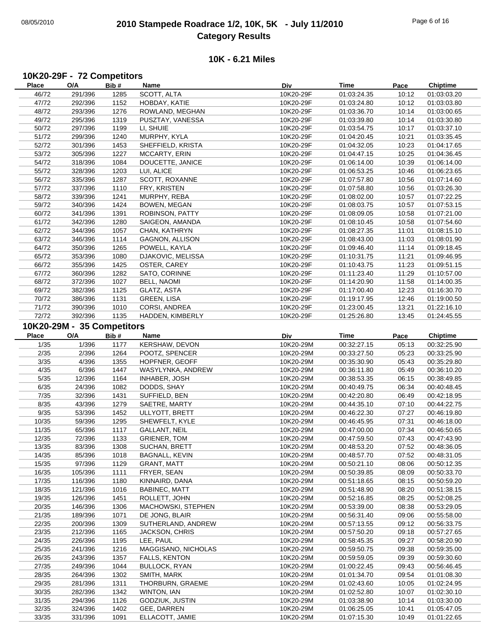# 08/05/2010 **2010 Stampede Roadrace 1/2, 10K, 5K - July 11/2010** Page 6 of 16 **Category Results**

## **10K - 6.21 Miles**

### **10K20-29F - 72 Competitors**

| Place          | O/A                        | Bib#         | Name                           | Div                    | <b>Time</b>                | Pace           | <b>Chiptime</b>            |
|----------------|----------------------------|--------------|--------------------------------|------------------------|----------------------------|----------------|----------------------------|
| 46/72          | 291/396                    | 1285         | SCOTT, ALTA                    | 10K20-29F              | 01:03:24.35                | 10:12          | 01:03:03.20                |
| 47/72          | 292/396                    | 1152         | HOBDAY, KATIE                  | 10K20-29F              | 01:03:24.80                | 10:12          | 01:03:03.80                |
| 48/72          | 293/396                    | 1276         | ROWLAND, MEGHAN                | 10K20-29F              | 01:03:36.70                | 10:14          | 01:03:00.65                |
| 49/72          | 295/396                    | 1319         | PUSZTAY, VANESSA               | 10K20-29F              | 01:03:39.80                | 10:14          | 01:03:30.80                |
| 50/72          | 297/396                    | 1199         | LI, SHUIE                      | 10K20-29F              | 01:03:54.75                | 10:17          | 01:03:37.10                |
| 51/72          | 299/396                    | 1240         | MURPHY, KYLA                   | 10K20-29F              | 01:04:20.45                | 10:21          | 01:03:35.45                |
|                |                            |              |                                |                        |                            |                |                            |
| 52/72          | 301/396                    | 1453         | SHEFFIELD, KRISTA              | 10K20-29F              | 01:04:32.05                | 10:23          | 01:04:17.65                |
| 53/72          | 305/396                    | 1227         | MCCARTY, ERIN                  | 10K20-29F              | 01:04:47.15                | 10:25          | 01:04:36.45                |
| 54/72          | 318/396                    | 1084         | DOUCETTE, JANICE               | 10K20-29F              | 01:06:14.00                | 10:39          | 01:06:14.00                |
| 55/72          | 328/396                    | 1203         | LUI, ALICE                     | 10K20-29F              | 01:06:53.25                | 10:46          | 01:06:23.65                |
| 56/72          | 335/396                    | 1287         | SCOTT, ROXANNE                 | 10K20-29F              | 01:07:57.80                | 10:56          | 01:07:14.60                |
| 57/72          | 337/396                    | 1110         | FRY, KRISTEN                   | 10K20-29F              | 01:07:58.80                | 10:56          | 01:03:26.30                |
| 58/72          | 339/396                    | 1241         | MURPHY, REBA                   | 10K20-29F              | 01:08:02.00                | 10:57          | 01:07:22.25                |
| 59/72          | 340/396                    | 1424         | <b>BOWEN, MEGAN</b>            | 10K20-29F              | 01:08:03.75                | 10:57          | 01:07:53.15                |
| 60/72          | 341/396                    | 1391         | ROBINSON, PATTY                | 10K20-29F              | 01:08:09.05                | 10:58          | 01:07:21.00                |
| 61/72          | 342/396                    | 1280         | SAIGEON, AMANDA                | 10K20-29F              | 01:08:10.45                | 10:58          | 01:07:54.60                |
| 62/72          | 344/396                    | 1057         | CHAN, KATHRYN                  | 10K20-29F              | 01:08:27.35                | 11:01          | 01:08:15.10                |
| 63/72          | 346/396                    | 1114         | GAGNON, ALLISON                | 10K20-29F              | 01:08:43.00                | 11:03          | 01:08:01.90                |
| 64/72          | 350/396                    | 1265         | POWELL, KAYLA                  | 10K20-29F              | 01:09:46.40                | 11:14          | 01:09:18.45                |
| 65/72          | 353/396                    | 1080         | DJAKOVIC, MELISSA              | 10K20-29F              | 01:10:31.75                | 11:21          | 01:09:46.95                |
|                |                            |              |                                |                        |                            |                |                            |
| 66/72          | 355/396                    | 1425         | OSTER, CAREY                   | 10K20-29F              | 01:10:43.75                | 11:23          | 01:09:51.15                |
| 67/72          | 360/396                    | 1282         | SATO, CORINNE                  | 10K20-29F              | 01:11:23.40                | 11:29          | 01:10:57.00                |
| 68/72          | 372/396                    | 1027         | BELL, NAOMI                    | 10K20-29F              | 01:14:20.90                | 11:58          | 01:14:00.35                |
| 69/72          | 382/396                    | 1125         | GLATZ, ASTA                    | 10K20-29F              | 01:17:00.40                | 12:23          | 01:16:30.70                |
| 70/72          | 386/396                    | 1131         | GREEN, LISA                    | 10K20-29F              | 01:19:17.95                | 12:46          | 01:19:00.50                |
| 71/72          | 390/396                    | 1010         | CORSI, ANDREA                  | 10K20-29F              | 01:23:00.45                | 13:21          | 01:22:16.10                |
| 72/72          | 392/396                    | 1135         | HADDEN, KIMBERLY               | 10K20-29F              | 01:25:26.80                | 13:45          | 01:24:45.55                |
|                | 10K20-29M - 35 Competitors |              |                                |                        |                            |                |                            |
| <b>Place</b>   | O/A                        | Bib#         | Name                           | Div                    | <b>Time</b>                | Pace           | <b>Chiptime</b>            |
| 1/35           | 1/396                      | 1177         | KERSHAW, DEVON                 | 10K20-29M              | 00:32:27.15                | 05:13          | 00:32:25.90                |
|                |                            |              |                                |                        |                            |                |                            |
| 2/35           | 2/396                      | 1264         | POOTZ, SPENCER                 | 10K20-29M              | 00:33:27.50                | 05:23          | 00:33:25.90                |
|                |                            |              |                                |                        |                            |                |                            |
| 3/35           | 4/396                      | 1355         | HOPFNER, GEOFF                 | 10K20-29M              | 00:35:30.90                | 05:43          | 00:35:29.80                |
| 4/35           | 6/396                      | 1447         | WASYLYNKA, ANDREW              | 10K20-29M              | 00:36:11.80                | 05:49          | 00:36:10.20                |
| 5/35           | 12/396                     | 1164         | INHABER, JOSH                  | 10K20-29M              | 00:38:53.35                | 06:15          | 00:38:49.85                |
| 6/35           | 24/396                     | 1082         | DODDS, SHAY                    | 10K20-29M              | 00:40:49.75                | 06:34          | 00:40:48.45                |
| $7/35$         | 32/396                     | 1431         | SUFFIELD, BEN                  | 10K20-29M              | 00:42:20.80                | 06:49          | 00:42:18.95                |
| 8/35           | 43/396                     | 1279         | SAETRE, MARTY                  | 10K20-29M              | 00:44:35.10                | 07:10          | 00:44:22.75                |
| 9/35           | 53/396                     | 1452         | ULLYOTT, BRETT                 | 10K20-29M              | 00:46:22.30                | 07:27          | 00:46:19.80                |
|                |                            | 1295         |                                | 10K20-29M              | 00:46:45.95                | 07:31          | 00:46:18.00                |
| 10/35          | 59/396                     |              | SHEWFELT, KYLE                 |                        |                            |                |                            |
| 11/35          | 65/396                     | 1117         | <b>GALLANT, NEIL</b>           | 10K20-29M              | 00:47:00.00                | 07:34          | 00:46:50.65                |
| 12/35          | 72/396                     | 1133         | <b>GRIENER, TOM</b>            | 10K20-29M              | 00:47:59.50                | 07:43          | 00:47:43.90                |
| 13/35          | 83/396                     | 1308         | SUCHAN, BRETT                  | 10K20-29M              | 00:48:53.20                | 07:52          | 00:48:36.05                |
| 14/35          | 85/396                     | 1018         | <b>BAGNALL, KEVIN</b>          | 10K20-29M              | 00:48:57.70                | 07:52          | 00:48:31.05                |
| 15/35          | 97/396                     | 1129         | <b>GRANT, MATT</b>             | 10K20-29M              | 00:50:21.10                | 08:06          | 00:50:12.35                |
| 16/35          | 105/396                    | 1111         | FRYER, SEAN                    | 10K20-29M              | 00:50:39.85                | 08:09          | 00:50:33.70                |
| 17/35          | 116/396                    | 1180         | KINNAIRD, DANA                 | 10K20-29M              | 00:51:18.65                | 08:15          | 00:50:59.20                |
| 18/35          | 121/396                    | 1016         | <b>BABINEC, MATT</b>           | 10K20-29M              | 00:51:48.90                | 08:20          | 00:51:38.15                |
| 19/35          | 126/396                    | 1451         | ROLLETT, JOHN                  | 10K20-29M              | 00:52:16.85                | 08:25          | 00:52:08.25                |
| 20/35          | 146/396                    | 1306         | MACHOWSKI, STEPHEN             | 10K20-29M              | 00:53:39.00                | 08:38          | 00:53:29.05                |
| 21/35          | 189/396                    | 1071         | DE JONG, BLAIR                 | 10K20-29M              | 00:56:31.40                | 09:06          | 00:55:58.00                |
| 22/35          | 200/396                    | 1309         | SUTHERLAND, ANDREW             | 10K20-29M              | 00:57:13.55                | 09:12          | 00:56:33.75                |
| 23/35          | 212/396                    | 1165         | <b>JACKSON, CHRIS</b>          | 10K20-29M              | 00:57:50.20                | 09:18          | 00:57:27.65                |
| 24/35          | 226/396                    | 1195         | LEE, PAUL                      | 10K20-29M              | 00:58:45.35                | 09:27          | 00:58:20.90                |
| 25/35          | 241/396                    | 1216         | MAGGISANO, NICHOLAS            | 10K20-29M              | 00:59:50.75                | 09:38          | 00:59:35.00                |
|                |                            |              |                                |                        |                            |                |                            |
| 26/35          | 243/396                    | 1357         | FALLS, KENTON                  | 10K20-29M              | 00:59:59.05                | 09:39          | 00:59:30.60                |
| 27/35          | 249/396                    | 1044         | <b>BULLOCK, RYAN</b>           | 10K20-29M              | 01:00:22.45                | 09:43          | 00:56:46.45                |
| 28/35          | 264/396                    | 1302         | SMITH, MARK                    | 10K20-29M              | 01:01:34.70                | 09:54          | 01:01:08.30                |
| 29/35          | 281/396                    | 1311         | THORBURN, GRAEME               | 10K20-29M              | 01:02:43.60                | 10:05          | 01:02:24.95                |
| 30/35          | 282/396                    | 1342         | WINTON, IAN                    | 10K20-29M              | 01:02:52.80                | 10:07          | 01:02:30.10                |
| 31/35          | 294/396                    | 1126         | GODZIUK, JUSTIN                | 10K20-29M              | 01:03:38.90                | 10:14          | 01:03:30.00                |
| 32/35<br>33/35 | 324/396<br>331/396         | 1402<br>1091 | GEE, DARREN<br>ELLACOTT, JAMIE | 10K20-29M<br>10K20-29M | 01:06:25.05<br>01:07:15.30 | 10:41<br>10:49 | 01:05:47.05<br>01:01:22.65 |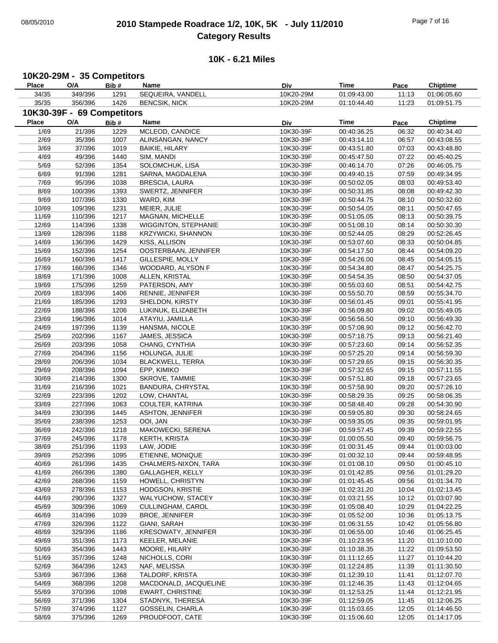# 08/05/2010 **2010 Stampede Roadrace 1/2, 10K, 5K - July 11/2010** Page 7 of 16 **Category Results**

## **10K - 6.21 Miles**

## **10K20-29M - 35 Competitors**

| <b>Place</b> | O/A                        | Bib# | Name                        | Div       | Time        | Pace  | <b>Chiptime</b> |
|--------------|----------------------------|------|-----------------------------|-----------|-------------|-------|-----------------|
| 34/35        | 349/396                    | 1291 | SEQUEIRA, VANDELL           | 10K20-29M | 01:09:43.00 | 11:13 | 01:06:05.60     |
| 35/35        | 356/396                    | 1426 | <b>BENCSIK, NICK</b>        | 10K20-29M | 01:10:44.40 | 11:23 | 01:09:51.75     |
|              | 10K30-39F - 69 Competitors |      |                             |           |             |       |                 |
|              |                            |      |                             |           |             |       |                 |
| <b>Place</b> | O/A                        | Bib# | Name                        | Div       | Time        | Pace  | <b>Chiptime</b> |
| 1/69         | 21/396                     | 1229 | MCLEOD, CANDICE             | 10K30-39F | 00:40:36.25 | 06:32 | 00:40:34.40     |
| 2/69         | 35/396                     | 1007 | ALINSANGAN, NANCY           | 10K30-39F | 00:43:14.10 | 06:57 | 00:43:08.55     |
| 3/69         | 37/396                     | 1019 | <b>BAIKIE, HILARY</b>       | 10K30-39F | 00:43:51.80 | 07:03 | 00:43:48.80     |
| 4/69         | 49/396                     | 1440 | SIM, MANDI                  | 10K30-39F | 00:45:47.50 | 07:22 | 00:45:40.25     |
| 5/69         | 52/396                     | 1354 | SOLOMCHUK, LISA             | 10K30-39F | 00:46:14.70 | 07:26 | 00:46:05.75     |
| 6/69         | 91/396                     | 1281 | SARNA, MAGDALENA            | 10K30-39F | 00:49:40.15 | 07:59 | 00:49:34.95     |
| 7/69         | 95/396                     | 1038 | <b>BRESCIA, LAURA</b>       | 10K30-39F | 00:50:02.05 | 08:03 | 00:49:53.40     |
| 8/69         | 100/396                    | 1393 | SWERTZ, JENNIFER            | 10K30-39F | 00:50:31.85 | 08:08 | 00:49:42.30     |
| 9/69         | 107/396                    | 1330 | WARD, KIM                   | 10K30-39F | 00:50:44.75 | 08:10 | 00:50:32.60     |
| 10/69        | 109/396                    | 1231 | MEIER, JULIE                | 10K30-39F | 00:50:54.05 | 08:11 | 00:50:47.65     |
| 11/69        | 110/396                    | 1217 | MAGNAN, MICHELLE            | 10K30-39F | 00:51:05.05 | 08:13 | 00:50:39.75     |
| 12/69        | 114/396                    | 1338 | <b>WIGGINTON, STEPHANIE</b> | 10K30-39F | 00:51:08.10 | 08:14 | 00:50:30.30     |
| 13/69        |                            |      |                             |           |             | 08:29 |                 |
|              | 128/396                    | 1188 | <b>KRZYWICKI, SHANNON</b>   | 10K30-39F | 00:52:44.05 |       | 00:52:26.45     |
| 14/69        | 136/396                    | 1429 | KISS, ALLISON               | 10K30-39F | 00:53:07.60 | 08:33 | 00:50:04.85     |
| 15/69        | 152/396                    | 1254 | OOSTERBAAN, JENNIFER        | 10K30-39F | 00:54:17.50 | 08:44 | 00:54:09.20     |
| 16/69        | 160/396                    | 1417 | GILLESPIE, MOLLY            | 10K30-39F | 00:54:26.00 | 08:45 | 00:54:05.15     |
| 17/69        | 166/396                    | 1346 | WOODARD, ALYSON F           | 10K30-39F | 00:54:34.80 | 08:47 | 00:54:25.75     |
| 18/69        | 171/396                    | 1008 | ALLEN, KRISTAL              | 10K30-39F | 00:54:54.35 | 08:50 | 00:54:37.05     |
| 19/69        | 175/396                    | 1259 | PATERSON, AMY               | 10K30-39F | 00:55:03.60 | 08:51 | 00:54:42.75     |
| 20/69        | 183/396                    | 1406 | RENNIE, JENNIFER            | 10K30-39F | 00:55:50.70 | 08:59 | 00:55:34.70     |
| 21/69        | 185/396                    | 1293 | SHELDON, KIRSTY             | 10K30-39F | 00:56:01.45 | 09:01 | 00:55:41.95     |
| 22/69        | 188/396                    | 1206 | LUKINUK, ELIZABETH          | 10K30-39F | 00:56:09.80 | 09:02 | 00:55:49.05     |
| 23/69        | 196/396                    | 1014 | ATAYIU, JAMILLA             | 10K30-39F | 00:56:56.50 | 09:10 | 00:56:49.30     |
| 24/69        | 197/396                    | 1139 | HANSMA, NICOLE              | 10K30-39F | 00:57:08.90 | 09:12 | 00:56:42.70     |
| 25/69        | 202/396                    | 1167 | JAMES, JESSICA              | 10K30-39F | 00:57:18.75 | 09:13 | 00:56:21.40     |
| 26/69        | 203/396                    | 1058 | CHANG, CYNTHIA              | 10K30-39F | 00:57:23.60 | 09:14 | 00:56:52.35     |
| 27/69        | 204/396                    | 1156 | HOLUNGA, JULIE              | 10K30-39F | 00:57:25.20 | 09:14 | 00:56:59.30     |
| 28/69        | 206/396                    | 1034 | <b>BLACKWELL, TERRA</b>     | 10K30-39F | 00:57:29.65 | 09:15 | 00:56:30.35     |
| 29/69        | 208/396                    | 1094 | EPP, KIMIKO                 | 10K30-39F | 00:57:32.65 | 09:15 | 00:57:11.55     |
| 30/69        | 214/396                    | 1300 | SKROVE, TAMMIE              | 10K30-39F | 00:57:51.80 | 09:18 | 00:57:23.65     |
| 31/69        | 216/396                    | 1021 | <b>BANDURA, CHRYSTAL</b>    | 10K30-39F | 00:57:58.90 | 09:20 | 00:57:26.10     |
| 32/69        | 223/396                    | 1202 | LOW, CHANTAL                | 10K30-39F | 00:58:29.35 | 09:25 | 00:58:06.35     |
|              |                            |      |                             |           |             |       |                 |
| 33/69        | 227/396                    | 1063 | COULTER, KATRINA            | 10K30-39F | 00:58:48.40 | 09:28 | 00:54:30.90     |
| 34/69        | 230/396                    | 1445 | <b>ASHTON, JENNIFER</b>     | 10K30-39F | 00:59:05.80 | 09:30 | 00:58:24.65     |
| 35/69        | 238/396                    | 1253 | OOI, JAN                    | 10K30-39F | 00:59:35.05 | 09:35 | 00:59:01.95     |
| 36/69        | 242/396                    | 1218 | <b>MAKOWECKI, SERENA</b>    | 10K30-39F | 00:59:57.45 | 09:39 | 00:59:22.55     |
| 37/69        | 245/396                    | 1178 | <b>KERTH, KRISTA</b>        | 10K30-39F | 01:00:05.50 | 09:40 | 00:59:56.75     |
| 38/69        | 251/396                    | 1193 | LAW, JODIE                  | 10K30-39F | 01:00:31.45 | 09:44 | 01:00:03.00     |
| 39/69        | 252/396                    | 1095 | ETIENNE, MONIQUE            | 10K30-39F | 01:00:32.10 | 09:44 | 00:59:48.95     |
| 40/69        | 261/396                    | 1435 | CHALMERS-NIXON, TARA        | 10K30-39F | 01:01:08.10 | 09:50 | 01:00:45.10     |
| 41/69        | 266/396                    | 1380 | GALLAGHER, KELLY            | 10K30-39F | 01:01:42.85 | 09:56 | 01:01:29.20     |
| 42/69        | 268/396                    | 1159 | HOWELL, CHRISTYN            | 10K30-39F | 01:01:45.45 | 09:56 | 01:01:34.70     |
| 43/69        | 278/396                    | 1153 | HODGSON, KRISTIE            | 10K30-39F | 01:02:31.20 | 10:04 | 01:02:13.45     |
| 44/69        | 290/396                    | 1327 | WALYUCHOW, STACEY           | 10K30-39F | 01:03:21.55 | 10:12 | 01:03:07.90     |
| 45/69        | 309/396                    | 1069 | CULLINGHAM, CAROL           | 10K30-39F | 01:05:08.40 | 10:29 | 01:04:22.25     |
| 46/69        | 314/396                    | 1039 | <b>BROE, JENNIFER</b>       | 10K30-39F | 01:05:52.00 | 10:36 | 01:05:13.75     |
| 47/69        | 326/396                    | 1122 | GIANI, SARAH                | 10K30-39F | 01:06:31.55 | 10:42 | 01:05:56.80     |
| 48/69        | 329/396                    | 1186 | KRESOWATY, JENNIFER         | 10K30-39F | 01:06:55.00 | 10:46 | 01:06:25.45     |
| 49/69        | 351/396                    | 1173 | KEELER, MELANIE             | 10K30-39F | 01:10:23.95 | 11:20 | 01:10:10.00     |
| 50/69        | 354/396                    | 1443 | MOORE, HILARY               | 10K30-39F | 01:10:38.35 | 11:22 | 01:09:53.50     |
| 51/69        | 357/396                    | 1248 | NICHOLLS, CORI              | 10K30-39F | 01:11:12.65 | 11:27 | 01:10:44.20     |
| 52/69        | 364/396                    | 1243 | NAF, MELISSA                | 10K30-39F |             | 11:39 | 01:11:30.50     |
|              |                            |      |                             |           | 01:12:24.85 |       |                 |
| 53/69        | 367/396                    | 1368 | TALDORF, KRISTA             | 10K30-39F | 01:12:39.10 | 11:41 | 01:12:07.70     |
| 54/69        | 368/396                    | 1208 | MACDONALD, JACQUELINE       | 10K30-39F | 01:12:46.35 | 11:43 | 01:12:04.65     |
| 55/69        | 370/396                    | 1098 | <b>EWART, CHRISTINE</b>     | 10K30-39F | 01:12:53.25 | 11:44 | 01:12:21.95     |
| 56/69        | 371/396                    | 1304 | STADNYK, THERESA            | 10K30-39F | 01:12:59.05 | 11:45 | 01:12:06.25     |
| 57/69        | 374/396                    | 1127 | GOSSELIN, CHARLA            | 10K30-39F | 01:15:03.65 | 12:05 | 01:14:46.50     |
| 58/69        | 375/396                    | 1269 | PROUDFOOT, CATE             | 10K30-39F | 01:15:06.60 | 12:05 | 01:14:17.05     |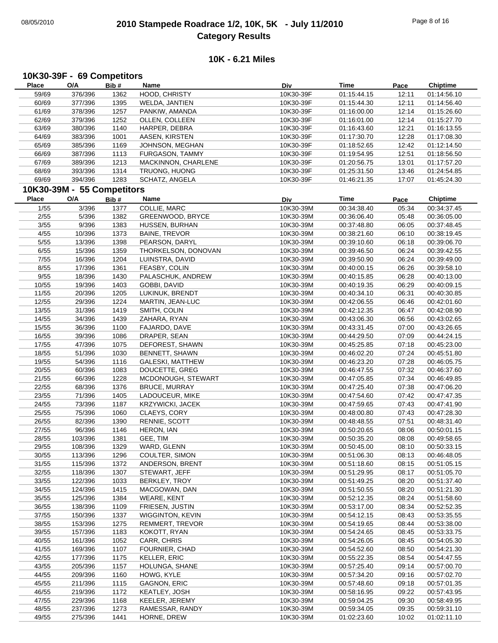# 08/05/2010 **2010 Stampede Roadrace 1/2, 10K, 5K - July 11/2010** Page 8 of 16 **Category Results**

## **10K - 6.21 Miles**

## **10K30-39F - 69 Competitors**

| <b>Place</b> | O/A                        | Bib# | Name                    | Div       | <b>Time</b> | Pace  | <b>Chiptime</b> |
|--------------|----------------------------|------|-------------------------|-----------|-------------|-------|-----------------|
| 59/69        | 376/396                    | 1362 | HOOD, CHRISTY           | 10K30-39F | 01:15:44.15 | 12:11 | 01:14:56.10     |
| 60/69        | 377/396                    | 1395 | WELDA, JANTIEN          | 10K30-39F | 01:15:44.30 | 12:11 | 01:14:56.40     |
| 61/69        | 378/396                    | 1257 | PANKIW, AMANDA          | 10K30-39F | 01:16:00.00 | 12:14 | 01:15:26.60     |
| 62/69        | 379/396                    | 1252 | OLLEN, COLLEEN          | 10K30-39F | 01:16:01.00 | 12:14 | 01:15:27.70     |
| 63/69        | 380/396                    | 1140 | HARPER, DEBRA           | 10K30-39F | 01:16:43.60 | 12:21 | 01:16:13.55     |
| 64/69        | 383/396                    | 1001 | AASEN, KIRSTEN          | 10K30-39F | 01:17:30.70 | 12:28 | 01:17:08.30     |
| 65/69        | 385/396                    | 1169 | JOHNSON, MEGHAN         | 10K30-39F | 01:18:52.65 | 12:42 | 01:12:14.50     |
|              |                            |      |                         |           |             |       |                 |
| 66/69        | 387/396                    | 1113 | FURGASON, TAMMY         | 10K30-39F | 01:19:54.95 | 12:51 | 01:18:56.50     |
| 67/69        | 389/396                    | 1213 | MACKINNON, CHARLENE     | 10K30-39F | 01:20:56.75 | 13:01 | 01:17:57.20     |
| 68/69        | 393/396                    | 1314 | TRUONG, HUONG           | 10K30-39F | 01:25:31.50 | 13:46 | 01:24:54.85     |
| 69/69        | 394/396                    | 1283 | SCHATZ, ANGELA          | 10K30-39F | 01:46:21.35 | 17:07 | 01:45:24.30     |
|              | 10K30-39M - 55 Competitors |      |                         |           |             |       |                 |
| <b>Place</b> | O/A                        | Bib# | Name                    | Div       | Time        | Pace  | <b>Chiptime</b> |
| 1/55         | 3/396                      | 1377 | COLLIE, MARC            | 10K30-39M | 00:34:38.40 | 05:34 | 00:34:37.45     |
| 2/55         | 5/396                      | 1382 | GREENWOOD, BRYCE        | 10K30-39M | 00:36:06.40 | 05:48 | 00:36:05.00     |
| 3/55         | 9/396                      | 1383 | HUSSEN, BURHAN          | 10K30-39M | 00:37:48.80 | 06:05 | 00:37:48.45     |
|              |                            |      |                         | 10K30-39M |             |       |                 |
| 4/55         | 10/396                     | 1373 | <b>BAINE, TREVOR</b>    |           | 00:38:21.60 | 06:10 | 00:38:19.45     |
| $5/55$       | 13/396                     | 1398 | PEARSON, DARYL          | 10K30-39M | 00:39:10.60 | 06:18 | 00:39:06.70     |
| 6/55         | 15/396                     | 1359 | THORKELSON, DONOVAN     | 10K30-39M | 00:39:46.50 | 06:24 | 00:39:42.55     |
| $7/55$       | 16/396                     | 1204 | LUINSTRA, DAVID         | 10K30-39M | 00:39:50.90 | 06:24 | 00:39:49.00     |
| 8/55         | 17/396                     | 1361 | FEASBY, COLIN           | 10K30-39M | 00:40:00.15 | 06:26 | 00:39:58.10     |
| 9/55         | 18/396                     | 1430 | PALASCHUK, ANDREW       | 10K30-39M | 00:40:15.85 | 06:28 | 00:40:13.00     |
| 10/55        | 19/396                     | 1403 | GOBBI, DAVID            | 10K30-39M | 00:40:19.35 | 06:29 | 00:40:09.15     |
| 11/55        | 20/396                     | 1205 | LUKINUK, BRENDT         | 10K30-39M | 00:40:34.10 | 06:31 | 00:40:30.85     |
| 12/55        | 29/396                     | 1224 | MARTIN, JEAN-LUC        | 10K30-39M | 00:42:06.55 | 06:46 | 00:42:01.60     |
| 13/55        | 31/396                     | 1419 | SMITH, COLIN            | 10K30-39M | 00:42:12.35 | 06:47 | 00:42:08.90     |
| 14/55        | 34/396                     | 1439 | ZAHARA, RYAN            | 10K30-39M | 00:43:06.30 | 06:56 | 00:43:02.65     |
| 15/55        | 36/396                     | 1100 | FAJARDO, DAVE           | 10K30-39M | 00:43:31.45 | 07:00 | 00:43:26.65     |
| 16/55        | 39/396                     | 1086 | DRAPER, SEAN            | 10K30-39M | 00:44:29.50 | 07:09 | 00:44:24.15     |
| 17/55        | 47/396                     | 1075 | DEFOREST, SHAWN         | 10K30-39M | 00:45:25.85 | 07:18 | 00:45:23.00     |
| 18/55        | 51/396                     | 1030 | BENNETT, SHAWN          | 10K30-39M | 00:46:02.20 | 07:24 | 00:45:51.80     |
|              | 54/396                     |      | GALESKI, MATTHEW        |           |             |       |                 |
| 19/55        |                            | 1116 |                         | 10K30-39M | 00:46:23.20 | 07:28 | 00:46:05.75     |
| 20/55        | 60/396                     | 1083 | DOUCETTE, GREG          | 10K30-39M | 00:46:47.55 | 07:32 | 00:46:37.60     |
| 21/55        | 66/396                     | 1228 | MCDONOUGH, STEWART      | 10K30-39M | 00:47:05.85 | 07:34 | 00:46:49.85     |
| 22/55        | 68/396                     | 1376 | <b>BRUCE, MURRAY</b>    | 10K30-39M | 00:47:25.40 | 07:38 | 00:47:06.20     |
| 23/55        | 71/396                     | 1405 | LADOUCEUR, MIKE         | 10K30-39M | 00:47:54.60 | 07:42 | 00:47:47.35     |
| 24/55        | 73/396                     | 1187 | <b>KRZYWICKI, JACEK</b> | 10K30-39M | 00:47:59.65 | 07:43 | 00:47:41.90     |
| 25/55        | 75/396                     | 1060 | CLAEYS, CORY            | 10K30-39M | 00:48:00.80 | 07:43 | 00:47:28.30     |
| 26/55        | 82/396                     | 1390 | RENNIE, SCOTT           | 10K30-39M | 00:48:48.55 | 07:51 | 00:48:31.40     |
| 27/55        | 96/396                     | 1146 | HERON, IAN              | 10K30-39M | 00:50:20.65 | 08:06 | 00:50:01.15     |
| 28/55        | 103/396                    | 1381 | GEE, TIM                | 10K30-39M | 00:50:35.20 | 08:08 | 00:49:58.65     |
| 29/55        | 108/396                    | 1329 | WARD, GLENN             | 10K30-39M | 00:50:45.00 | 08:10 | 00:50:33.15     |
| 30/55        | 113/396                    | 1296 | COULTER, SIMON          | 10K30-39M | 00:51:06.30 | 08:13 | 00:46:48.05     |
| 31/55        | 115/396                    | 1372 | ANDERSON, BRENT         | 10K30-39M | 00:51:18.60 | 08:15 | 00:51:05.15     |
| 32/55        | 118/396                    | 1307 | STEWART, JEFF           | 10K30-39M | 00:51:29.95 | 08:17 | 00:51:05.70     |
| 33/55        | 122/396                    | 1033 | <b>BERKLEY, TROY</b>    | 10K30-39M | 00:51:49.25 | 08:20 | 00:51:37.40     |
| 34/55        | 124/396                    | 1415 | MACGOWAN, DAN           | 10K30-39M | 00:51:50.55 | 08:20 | 00:51:21.30     |
| 35/55        | 125/396                    | 1384 | <b>WEARE, KENT</b>      | 10K30-39M | 00:52:12.35 | 08:24 | 00:51:58.60     |
|              |                            |      |                         |           |             |       |                 |
| 36/55        | 138/396                    | 1109 | FRIESEN, JUSTIN         | 10K30-39M | 00:53:17.00 | 08:34 | 00:52:52.35     |
| 37/55        | 150/396                    | 1337 | <b>WIGGINTON, KEVIN</b> | 10K30-39M | 00:54:12.15 | 08:43 | 00:53:35.55     |
| 38/55        | 153/396                    | 1275 | <b>REMMERT, TREVOR</b>  | 10K30-39M | 00:54:19.65 | 08:44 | 00:53:38.00     |
| 39/55        | 157/396                    | 1183 | KOKOTT, RYAN            | 10K30-39M | 00:54:24.65 | 08:45 | 00:53:33.75     |
| 40/55        | 161/396                    | 1052 | CARR, CHRIS             | 10K30-39M | 00:54:26.05 | 08:45 | 00:54:05.30     |
| 41/55        | 169/396                    | 1107 | FOURNIER, CHAD          | 10K30-39M | 00:54:52.60 | 08:50 | 00:54:21.30     |
| 42/55        | 177/396                    | 1175 | <b>KELLER, ERIC</b>     | 10K30-39M | 00:55:22.35 | 08:54 | 00:54:47.55     |
| 43/55        | 205/396                    | 1157 | HOLUNGA, SHANE          | 10K30-39M | 00:57:25.40 | 09:14 | 00:57:00.70     |
| 44/55        | 209/396                    | 1160 | HOWG, KYLE              | 10K30-39M | 00:57:34.20 | 09:16 | 00:57:02.70     |
| 45/55        | 211/396                    | 1115 | GAGNON, ERIC            | 10K30-39M | 00:57:48.60 | 09:18 | 00:57:01.35     |
| 46/55        | 219/396                    | 1172 | KEATLEY, JOSH           | 10K30-39M | 00:58:16.95 | 09:22 | 00:57:43.95     |
| 47/55        | 229/396                    | 1168 | KEELER, JEREMY          | 10K30-39M | 00:59:04.25 | 09:30 | 00:58:49.95     |
| 48/55        | 237/396                    | 1273 | RAMESSAR, RANDY         | 10K30-39M | 00:59:34.05 | 09:35 | 00:59:31.10     |
| 49/55        | 275/396                    | 1441 | HORNE, DREW             | 10K30-39M | 01:02:23.60 | 10:02 | 01:02:11.10     |
|              |                            |      |                         |           |             |       |                 |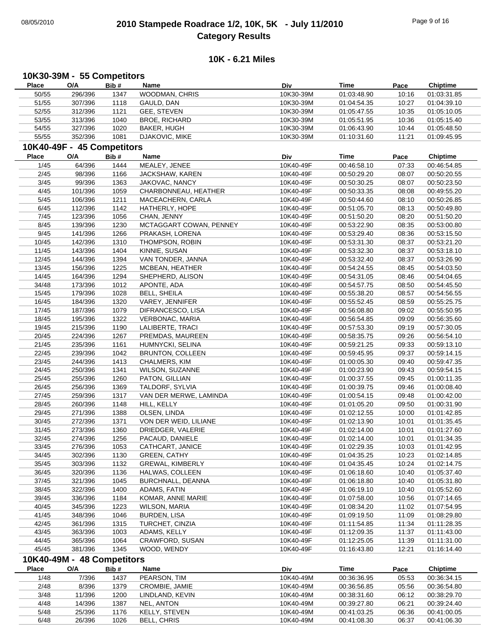## 08/05/2010 **2010 Stampede Roadrace 1/2, 10K, 5K - July 11/2010** Page 9 of 16 **Category Results**

#### **10K - 6.21 Miles**

#### **Place Name O/A Bib # Time Pace Chiptime 10K30-39M - 55 Competitors Div** 50/55 WOODMAN, CHRIS 296/396 1347 10K30-39M 01:03:31.85 01:03:48.90 10:16 51/55 307/396 1118 GAULD, DAN 10K30-39M 01:04:54.35 10:27 01:04:39.10 52/55 312/396 1121 GEE, STEVEN 10K30-39M 01:05:47.55 10:35 01:05:10.05 53/55 313/396 1040 BROE, RICHARD 10K30-39M 01:05:51.95 10:36 01:05:15.40 54/55 327/396 1020 BAKER, HUGH 10K30-39M 01:06:43.90 10:44 01:05:48.50 55/55 352/396 1081 DJAKOVIC, MIKE 10K30-39M 01:10:31.60 11:21 01:09:45.95 **Place Name O/A Bib # Time Pace Chiptime 10K40-49F - 45 Competitors Div** 1/45 64/396 1444 MEALEY, JENEE 10K40-49F 00:46:58.10 07:33 00:46:54.85 2/45 98/396 1166 JACKSHAW, KAREN 10K40-49F 00:50:29.20 08:07 00:50:20.55 3/45 99/396 1363 JAKOVAC, NANCY 10K40-49F 00:50:30.25 08:07 00:50:23.50 4/45 101/396 1059 CHARBONNEAU, HEATHER 10K40-49F 00:50:33.35 08:08 00:49:55.20 5/45 106/396 1211 MACEACHERN, CARLA 10K40-49F 00:50:44.60 08:10 00:50:26.85 6/45 112/396 1142 HATHERLY, HOPE 10K40-49F 00:51:05.70 08:13 00:50:49.80 7/45 123/396 1056 CHAN, JENNY 10K40-49F 00:51:50.20 08:20 00:51:50.20 8/45 139/396 1230 MCTAGGART COWAN, PENNEY 10K40-49F 00:53:22.90 08:35 00:53:00.80 9/45 141/396 1266 PRAKASH, LORENA 10K40-49F 00:53:29.40 08:36 00:53:15.50 10/45 THOMPSON, ROBIN 142/396 1310 10K40-49F 00:53:21.20 00:53:31.30 08:37 11/45 KINNIE, SUSAN 143/396 1404 10K40-49F 00:53:18.10 00:53:32.30 08:37 12/45 VAN TONDER, JANNA 144/396 1394 10K40-49F 00:53:26.90 00:53:32.40 08:37 13/45 156/396 1225 MCBEAN, HEATHER 10K40-49F 00:54:24.55 08:45 00:54:03.50 14/45 SHEPHERD, ALISON 164/396 1294 10K40-49F 00:54:04.65 00:54:31.05 08:46 34/48 173/396 1012 APONTE, ADA 10K40-49F 00:54:57.75 08:50 00:54:45.50 15/45 179/396 1028 BELL, SHEILA 10K40-49F 00:55:38.20 08:57 00:54:56.55 16/45 184/396 1320 VAREY, JENNIFER 1840-49F 00:55:52.45 08:59 00:55:25.75 17/45 DIFRANCESCO, LISA 187/396 1079 10K40-49F 00:55:50.95 00:56:08.80 09:02 18/45 195/396 1322 VERBONAC, MARIA 10K40-49F 00:56:54.85 09:09 00:56:35.60 19/45 LALIBERTE, TRACI 215/396 1190 10K40-49F 00:57:30.05 00:57:53.30 09:19 20/45 PREMDAS, MAUREEN 224/396 1267 10K40-49F 00:56:54.10 00:58:35.75 09:26 21/45 235/396 1161 HUMNYCKI, SELINA 2016049F 00:59:21.25 09:33 00:59:13.10 22/45 239/396 1042 BRUNTON, COLLEEN 10K40-49F 00:59:45.95 09:37 00:59:14.15 23/45 CHALMERS, KIM 244/396 1413 10K40-49F 00:59:47.35 01:00:05.30 09:40 24/45 250/396 1341 WILSON, SUZANNE 10K40-49F 01:00:23.90 09:43 00:59:54.15 25/45 PATON, GILLIAN 255/396 1260 10K40-49F 01:00:11.35 01:00:37.55 09:45 26/45 TALDORF, SYLVIA 256/396 1369 10K40-49F 01:00:08.40 01:00:39.75 09:46 27/45 259/396 1317 VAN DER MERWE, LAMINDA 210K40-49F 01:00:54.15 09:48 01:00:42.00 28/45 HILL, KELLY 260/396 1148 10K40-49F 01:00:31.90 01:01:05.20 09:50 29/45 271/396 1388 OLSEN, LINDA 10K40-49F 01:02:12.55 10:00 01:01:42.85 30/45 272/396 1371 VON DER WEID, LILIANE 10K40-49F 01:02:13.90 10:01 01:01:35.45 31/45 273/396 1360 DRIEDGER, VALERIE 273/396 1360 DRIEDGER, VALERIE 2000 10K40-49F 01:02:14.00 10:01 01:01:27.60 32/45 274/396 1256 PACAUD, DANIELE 274/396 274/396 101:02.14.00 10:01:02:14.00 33/45 276/396 1053 CATHCART, JANICE 10K40-49F 01:02:29.35 10:03 01:01:42.95 34/45 302/396 1130 GREEN, CATHY 10K40-49F 01:04:35.25 10:23 01:02:14.85 35/45 303/396 1132 GREWAL, KIMBERLY 10K40-49F 01:04:35.45 10:24 01:02:14.75 36/45 320/396 1136 HALWAS, COLLEEN 10K40-49F 01:06:18.60 10:40 01:05:37.40 37/45 321/396 1045 BURCHNALL, DEANNA 310K40-49F 01:06:18.80 10:40 01:05:31.80 38/45 322/396 1400 ADAMS, FATIN 306/10K40-49F 01:06:19.10 10:40 01:05:52.60 39/45 336/396 1184 KOMAR, ANNE MARIE 10K40-49F 01:07:58.00 10:56 01:07:14.65 40/45 345/396 1223 WILSON, MARIA 310K40-49F 01:08:34.20 11:02 01:07:54.95 41/45 BURDEN, LISA 348/396 1046 10K40-49F 01:08:29.80 01:09:19.50 11:09 42/45 361/396 1315 TURCHET, CINZIA 300 100 100 100 100 111:54.85 11:34 01:11:28.35 43/45 363/396 1003 ADAMS, KELLY 10K40-49F 01:12:09.35 11:37 01:11:43.00 44/45 365/396 1064 CRAWFORD, SUSAN 10K40-49F 01:12:25.05 11:39 01:11:31.00 45/45 WOOD, WENDY 381/396 1345 10K40-49F 01:16:14.40 01:16:43.80 12:21 **Place Name O/A Bib # Time Pace Chiptime 10K40-49M - 48 Competitors Div** 1/48 7/396 1437 PEARSON, TIM 10K40-49M 00:36:36.95 05:53 00:36:34.15 2/48 8/396 1379 CROMBIE, JAMIE 10K40-49M 00:36:56.85 05:56 00:36:54.80 3/48 11/396 1200 LINDLAND, KEVIN 10K40-49M 00:38:31.60 06:12 00:38:29.70 4/48 NEL, ANTON 14/396 1387 10K40-49M 00:39:24.40 00:39:27.80 06:21 5/48 25/396 1176 KELLY, STEVEN 26/300 10K40-49M 00:41:03.25 06:36 00:41:00.05 6/48 26/396 1026 BELL, CHRIS 10K40-49M 00:41:08.30 06:37 00:41:06.30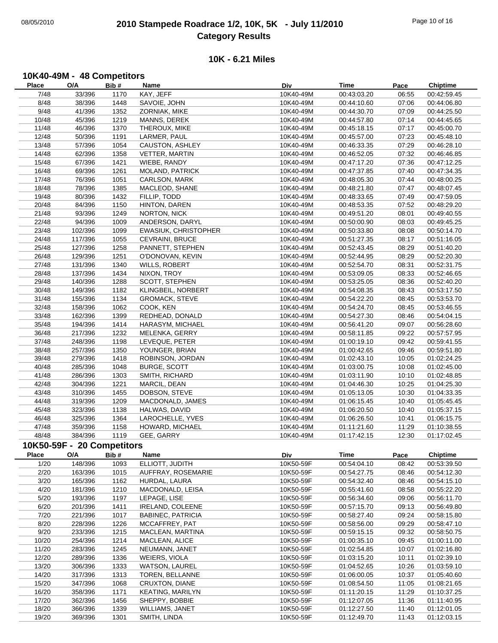# 08/05/2010 **2010 Stampede Roadrace 1/2, 10K, 5K - July 11/2010** Page 10 of 16 **Category Results**

## **10K - 6.21 Miles**

#### **10K40-49M - 48 Competitors**

| Place        | O/A                        | Bib# | Name                     | Div       | Time        | Pace  | <b>Chiptime</b> |
|--------------|----------------------------|------|--------------------------|-----------|-------------|-------|-----------------|
| 7/48         | 33/396                     | 1170 | KAY, JEFF                | 10K40-49M | 00:43:03.20 | 06:55 | 00:42:59.45     |
| 8/48         | 38/396                     | 1448 | SAVOIE, JOHN             | 10K40-49M | 00:44:10.60 | 07:06 | 00:44:06.80     |
| 9/48         | 41/396                     | 1352 | ZORNIAK, MIKE            | 10K40-49M | 00:44:30.70 | 07:09 | 00:44:25.50     |
| 10/48        | 45/396                     | 1219 | MANNS, DEREK             | 10K40-49M | 00:44:57.80 | 07:14 | 00:44:45.65     |
| 11/48        | 46/396                     | 1370 | THEROUX, MIKE            | 10K40-49M | 00:45:18.15 | 07:17 | 00:45:00.70     |
| 12/48        | 50/396                     | 1191 | LARMER, PAUL             | 10K40-49M | 00:45:57.00 | 07:23 | 00:45:48.10     |
| 13/48        | 57/396                     | 1054 | CAUSTON, ASHLEY          | 10K40-49M | 00:46:33.35 | 07:29 | 00:46:28.10     |
| 14/48        | 62/396                     | 1358 | VETTER, MARTIN           | 10K40-49M | 00:46:52.05 | 07:32 | 00:46:46.85     |
| 15/48        | 67/396                     | 1421 | WIEBE, RANDY             | 10K40-49M | 00:47:17.20 | 07:36 | 00:47:12.25     |
| 16/48        | 69/396                     | 1261 | MOLAND, PATRICK          | 10K40-49M | 00:47:37.85 | 07:40 | 00:47:34.35     |
| 17/48        | 76/396                     | 1051 | CARLSON, MARK            | 10K40-49M | 00:48:05.30 | 07:44 | 00:48:00.25     |
| 18/48        | 78/396                     | 1385 | MACLEOD, SHANE           | 10K40-49M | 00:48:21.80 | 07:47 | 00:48:07.45     |
| 19/48        | 80/396                     | 1432 | FILLIP, TODD             | 10K40-49M | 00:48:33.65 | 07:49 | 00:47:59.05     |
| 20/48        | 84/396                     | 1150 | HINTON, DAREN            | 10K40-49M | 00:48:53.35 | 07:52 | 00:48:29.20     |
| 21/48        | 93/396                     | 1249 | NORTON, NICK             | 10K40-49M | 00:49:51.20 | 08:01 | 00:49:40.55     |
| 22/48        | 94/396                     | 1009 | ANDERSON, DARYL          | 10K40-49M | 00:50:00.90 | 08:03 | 00:49:45.25     |
| 23/48        | 102/396                    | 1099 | EWASIUK, CHRISTOPHER     | 10K40-49M | 00:50:33.80 | 08:08 | 00:50:14.70     |
| 24/48        | 117/396                    | 1055 | CEVRAINI, BRUCE          | 10K40-49M | 00:51:27.35 | 08:17 | 00:51:16.05     |
| 25/48        | 127/396                    | 1258 | PANNETT, STEPHEN         | 10K40-49M | 00:52:43.45 | 08:29 | 00:51:40.20     |
| 26/48        | 129/396                    | 1251 | O'DONOVAN, KEVIN         | 10K40-49M | 00:52:44.95 | 08:29 | 00:52:20.30     |
| 27/48        | 131/396                    | 1340 | WILLS, ROBERT            | 10K40-49M | 00:52:54.70 | 08:31 | 00:52:31.75     |
| 28/48        | 137/396                    | 1434 | NIXON, TROY              | 10K40-49M | 00:53:09.05 | 08:33 | 00:52:46.65     |
| 29/48        | 140/396                    | 1288 | SCOTT, STEPHEN           | 10K40-49M | 00:53:25.05 | 08:36 | 00:52:40.20     |
| 30/48        | 149/396                    | 1182 | KLINGBEIL, NORBERT       | 10K40-49M | 00:54:08.35 | 08:43 | 00:53:17.50     |
| 31/48        | 155/396                    | 1134 | <b>GROMACK, STEVE</b>    | 10K40-49M | 00:54:22.20 | 08:45 | 00:53:53.70     |
| 32/48        | 158/396                    | 1062 | COOK, KEN                | 10K40-49M | 00:54:24.70 | 08:45 | 00:53:46.55     |
| 33/48        | 162/396                    | 1399 | REDHEAD, DONALD          | 10K40-49M | 00:54:27.30 | 08:46 | 00:54:04.15     |
| 35/48        | 194/396                    | 1414 | HARASYM, MICHAEL         | 10K40-49M | 00:56:41.20 | 09:07 | 00:56:28.60     |
| 36/48        | 217/396                    | 1232 | MELENKA, GERRY           | 10K40-49M | 00:58:11.85 | 09:22 | 00:57:57.95     |
| 37/48        | 248/396                    | 1198 | LEVEQUE, PETER           | 10K40-49M | 01:00:19.10 | 09:42 | 00:59:41.55     |
| 38/48        | 257/396                    | 1350 | YOUNGER, BRIAN           | 10K40-49M | 01:00:42.65 | 09:46 | 00:59:51.80     |
| 39/48        | 279/396                    | 1418 | ROBINSON, JORDAN         | 10K40-49M | 01:02:43.10 | 10:05 | 01:02:24.25     |
| 40/48        | 285/396                    | 1048 | <b>BURGE, SCOTT</b>      | 10K40-49M | 01:03:00.75 | 10:08 | 01:02:45.00     |
| 41/48        | 286/396                    | 1303 | SMITH, RICHARD           | 10K40-49M | 01:03:11.90 | 10:10 | 01:02:48.85     |
| 42/48        | 304/396                    | 1221 | MARCIL, DEAN             | 10K40-49M | 01:04:46.30 | 10:25 | 01:04:25.30     |
| 43/48        | 310/396                    | 1455 | DOBSON, STEVE            | 10K40-49M | 01:05:13.05 | 10:30 | 01:04:33.35     |
| 44/48        | 319/396                    | 1209 | MACDONALD, JAMES         | 10K40-49M | 01:06:15.45 | 10:40 | 01:05:45.45     |
| 45/48        | 323/396                    | 1138 | HALWAS, DAVID            | 10K40-49M | 01:06:20.50 | 10:40 | 01:05:37.15     |
| 46/48        | 325/396                    | 1364 | LAROCHELLE, YVES         | 10K40-49M | 01:06:26.50 | 10:41 | 01:06:15.75     |
| 47/48        | 359/396                    | 1158 | HOWARD, MICHAEL          | 10K40-49M | 01:11:21.60 | 11:29 | 01:10:38.55     |
| 48/48        | 384/396                    | 1119 | GEE, GARRY               | 10K40-49M | 01:17:42.15 | 12:30 | 01:17:02.45     |
|              | 10K50-59F - 20 Competitors |      |                          |           |             |       |                 |
|              |                            |      |                          |           |             |       |                 |
| <b>Place</b> | O/A                        | Bib# | Name                     | Div       | Time        | Pace  | <b>Chiptime</b> |
| 1/20         | 148/396                    | 1093 | ELLIOTT, JUDITH          | 10K50-59F | 00:54:04.10 | 08:42 | 00:53:39.50     |
| 2/20         | 163/396                    | 1015 | AUFFRAY, ROSEMARIE       | 10K50-59F | 00:54:27.75 | 08:46 | 00:54:12.30     |
| 3/20         | 165/396                    | 1162 | HURDAL, LAURA            | 10K50-59F | 00:54:32.40 | 08:46 | 00:54:15.10     |
| 4/20         | 181/396                    | 1210 | MACDONALD, LEISA         | 10K50-59F | 00:55:41.60 | 08:58 | 00:55:22.20     |
| 5/20         | 193/396                    | 1197 | LEPAGE, LISE             | 10K50-59F | 00:56:34.60 | 09:06 | 00:56:11.70     |
| 6/20         | 201/396                    | 1411 | <b>IRELAND, COLEENE</b>  | 10K50-59F | 00:57:15.70 | 09:13 | 00:56:49.80     |
| 7/20         | 221/396                    | 1017 | <b>BABINEC, PATRICIA</b> | 10K50-59F | 00:58:27.40 | 09:24 | 00:58:15.80     |
| 8/20         | 228/396                    | 1226 | MCCAFFREY, PAT           | 10K50-59F | 00:58:56.00 | 09:29 | 00:58:47.10     |
| 9/20         | 233/396                    | 1215 | MACLEAN, MARTINA         | 10K50-59F | 00:59:15.15 | 09:32 | 00:58:50.75     |
| 10/20        | 254/396                    | 1214 | MACLEAN, ALICE           | 10K50-59F | 01:00:35.10 | 09:45 | 01:00:11.00     |
| 11/20        | 283/396                    | 1245 | NEUMANN, JANET           | 10K50-59F | 01:02:54.85 | 10:07 | 01:02:16.80     |
| 12/20        | 289/396                    | 1336 | WEIERS, VIOLA            | 10K50-59F | 01:03:15.20 | 10:11 | 01:02:39.10     |
| 13/20        | 306/396                    | 1333 | <b>WATSON, LAUREL</b>    | 10K50-59F | 01:04:52.65 | 10:26 | 01:03:59.10     |
| 14/20        | 317/396                    | 1313 | TOREN, BELLANNE          | 10K50-59F | 01:06:00.05 | 10:37 | 01:05:40.60     |
| 15/20        | 347/396                    | 1068 | CRUXTON, DIANE           | 10K50-59F | 01:08:54.50 | 11:05 | 01:08:21.65     |
| 16/20        | 358/396                    | 1171 | KEATING, MARILYN         | 10K50-59F | 01:11:20.15 | 11:29 | 01:10:37.25     |
| 17/20        | 362/396                    | 1456 | SHEPPY, BOBBIE           | 10K50-59F | 01:12:07.05 | 11:36 | 01:11:40.95     |
| 18/20        | 366/396                    | 1339 | WILLIAMS, JANET          | 10K50-59F | 01:12:27.50 | 11:40 | 01:12:01.05     |
| 19/20        | 369/396                    | 1301 | SMITH, LINDA             | 10K50-59F | 01:12:49.70 | 11:43 | 01:12:03.15     |